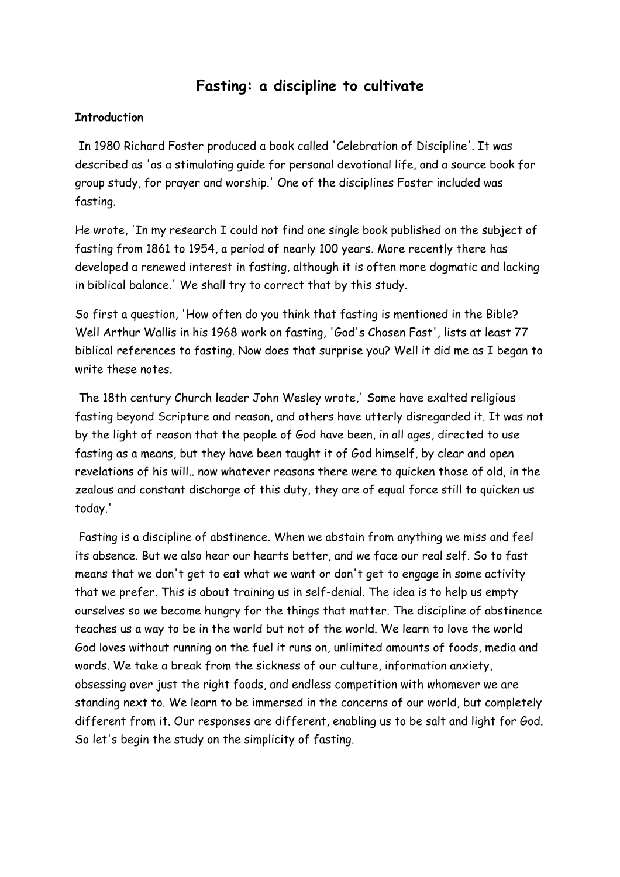# **Fasting: a discipline to cultivate**

## **Introduction**

 In 1980 Richard Foster produced a book called 'Celebration of Discipline'. It was described as 'as a stimulating guide for personal devotional life, and a source book for group study, for prayer and worship.' One of the disciplines Foster included was fasting.

He wrote, 'In my research I could not find one single book published on the subject of fasting from 1861 to 1954, a period of nearly 100 years. More recently there has developed a renewed interest in fasting, although it is often more dogmatic and lacking in biblical balance.' We shall try to correct that by this study.

So first a question, 'How often do you think that fasting is mentioned in the Bible? Well Arthur Wallis in his 1968 work on fasting, 'God's Chosen Fast', lists at least 77 biblical references to fasting. Now does that surprise you? Well it did me as I began to write these notes.

 The 18th century Church leader John Wesley wrote,' Some have exalted religious fasting beyond Scripture and reason, and others have utterly disregarded it. It was not by the light of reason that the people of God have been, in all ages, directed to use fasting as a means, but they have been taught it of God himself, by clear and open revelations of his will.. now whatever reasons there were to quicken those of old, in the zealous and constant discharge of this duty, they are of equal force still to quicken us today.'

 Fasting is a discipline of abstinence. When we abstain from anything we miss and feel its absence. But we also hear our hearts better, and we face our real self. So to fast means that we don't get to eat what we want or don't get to engage in some activity that we prefer. This is about training us in self-denial. The idea is to help us empty ourselves so we become hungry for the things that matter. The discipline of abstinence teaches us a way to be in the world but not of the world. We learn to love the world God loves without running on the fuel it runs on, unlimited amounts of foods, media and words. We take a break from the sickness of our culture, information anxiety, obsessing over just the right foods, and endless competition with whomever we are standing next to. We learn to be immersed in the concerns of our world, but completely different from it. Our responses are different, enabling us to be salt and light for God. So let's begin the study on the simplicity of fasting.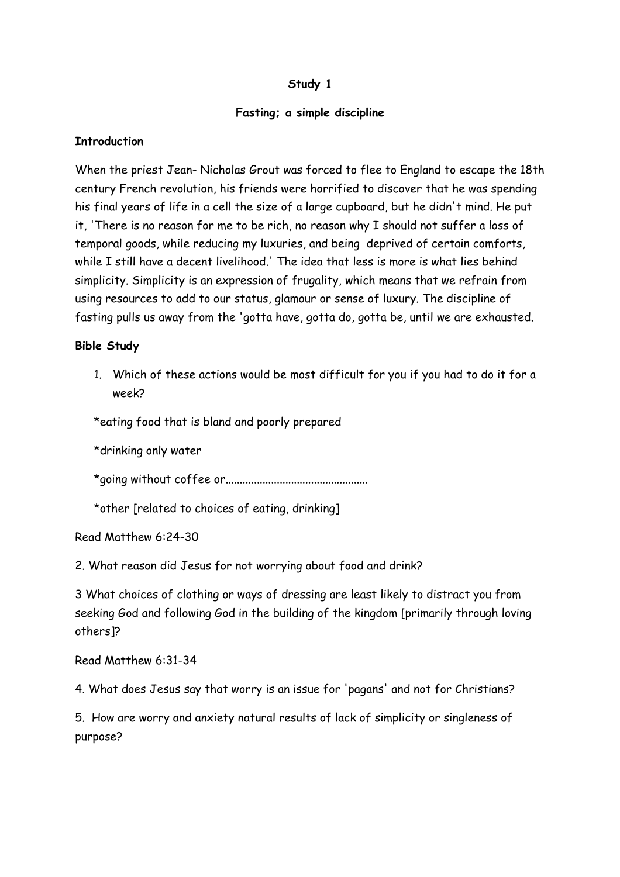## **Study 1**

## **Fasting; a simple discipline**

## **Introduction**

When the priest Jean- Nicholas Grout was forced to flee to England to escape the 18th century French revolution, his friends were horrified to discover that he was spending his final years of life in a cell the size of a large cupboard, but he didn't mind. He put it, 'There is no reason for me to be rich, no reason why I should not suffer a loss of temporal goods, while reducing my luxuries, and being deprived of certain comforts, while I still have a decent livelihood.' The idea that less is more is what lies behind simplicity. Simplicity is an expression of frugality, which means that we refrain from using resources to add to our status, glamour or sense of luxury. The discipline of fasting pulls us away from the 'gotta have, gotta do, gotta be, until we are exhausted.

## **Bible Study**

1. Which of these actions would be most difficult for you if you had to do it for a week?

\*eating food that is bland and poorly prepared

\*drinking only water

\*going without coffee or..................................................

\*other [related to choices of eating, drinking]

Read Matthew 6:24-30

2. What reason did Jesus for not worrying about food and drink?

3 What choices of clothing or ways of dressing are least likely to distract you from seeking God and following God in the building of the kingdom [primarily through loving others]?

Read Matthew 6:31-34

4. What does Jesus say that worry is an issue for 'pagans' and not for Christians?

5. How are worry and anxiety natural results of lack of simplicity or singleness of purpose?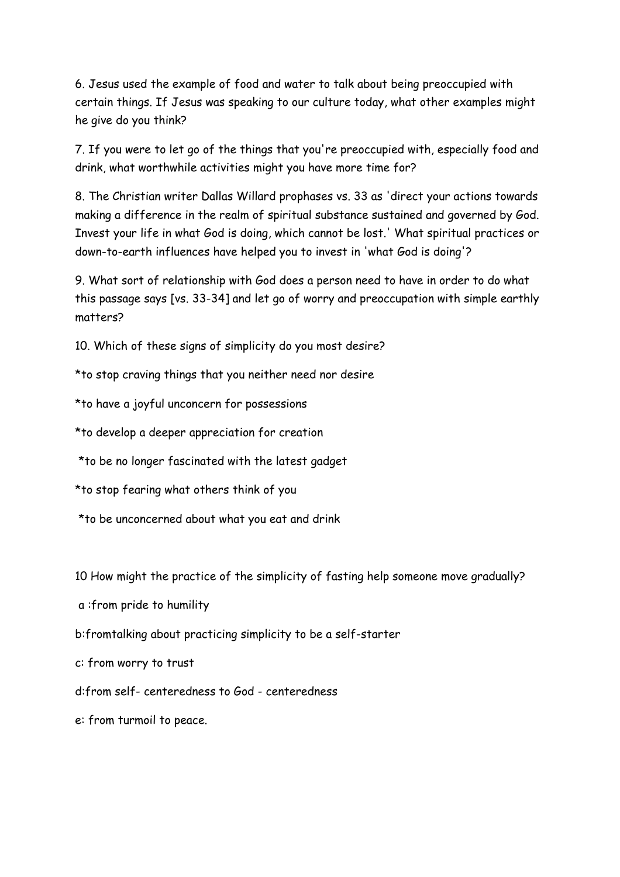6. Jesus used the example of food and water to talk about being preoccupied with certain things. If Jesus was speaking to our culture today, what other examples might he give do you think?

7. If you were to let go of the things that you're preoccupied with, especially food and drink, what worthwhile activities might you have more time for?

8. The Christian writer Dallas Willard prophases vs. 33 as 'direct your actions towards making a difference in the realm of spiritual substance sustained and governed by God. Invest your life in what God is doing, which cannot be lost.' What spiritual practices or down-to-earth influences have helped you to invest in 'what God is doing'?

9. What sort of relationship with God does a person need to have in order to do what this passage says [vs. 33-34] and let go of worry and preoccupation with simple earthly matters?

10. Which of these signs of simplicity do you most desire?

\*to stop craving things that you neither need nor desire

\*to have a joyful unconcern for possessions

\*to develop a deeper appreciation for creation

\*to be no longer fascinated with the latest gadget

\*to stop fearing what others think of you

\*to be unconcerned about what you eat and drink

10 How might the practice of the simplicity of fasting help someone move gradually?

a :from pride to humility

b:fromtalking about practicing simplicity to be a self-starter

c: from worry to trust

d:from self- centeredness to God - centeredness

e: from turmoil to peace.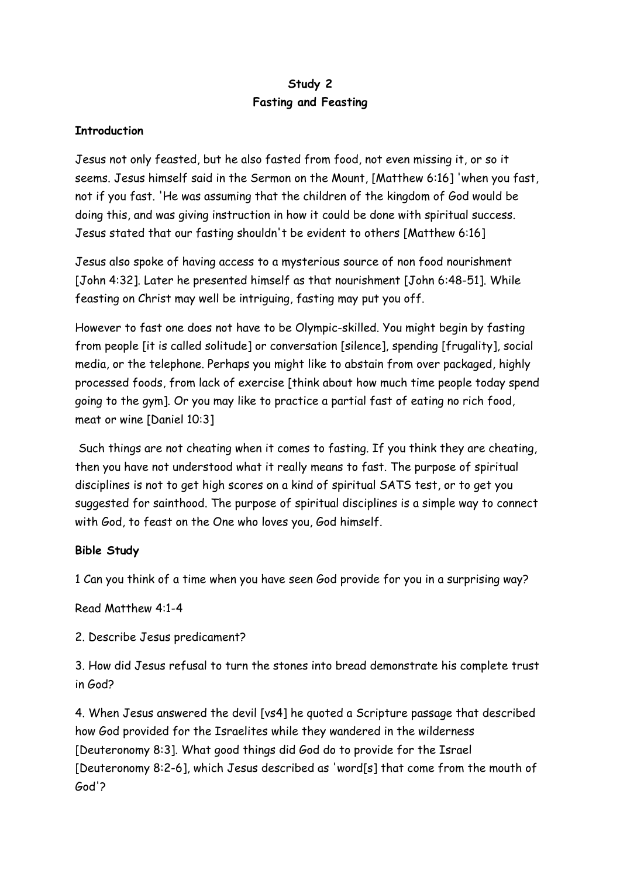## **Study 2 Fasting and Feasting**

## **Introduction**

Jesus not only feasted, but he also fasted from food, not even missing it, or so it seems. Jesus himself said in the Sermon on the Mount, [Matthew 6:16] 'when you fast, not if you fast. 'He was assuming that the children of the kingdom of God would be doing this, and was giving instruction in how it could be done with spiritual success. Jesus stated that our fasting shouldn't be evident to others [Matthew 6:16]

Jesus also spoke of having access to a mysterious source of non food nourishment [John 4:32]. Later he presented himself as that nourishment [John 6:48-51]. While feasting on Christ may well be intriguing, fasting may put you off.

However to fast one does not have to be Olympic-skilled. You might begin by fasting from people [it is called solitude] or conversation [silence], spending [frugality], social media, or the telephone. Perhaps you might like to abstain from over packaged, highly processed foods, from lack of exercise [think about how much time people today spend going to the gym]. Or you may like to practice a partial fast of eating no rich food, meat or wine [Daniel 10:3]

 Such things are not cheating when it comes to fasting. If you think they are cheating, then you have not understood what it really means to fast. The purpose of spiritual disciplines is not to get high scores on a kind of spiritual SATS test, or to get you suggested for sainthood. The purpose of spiritual disciplines is a simple way to connect with God, to feast on the One who loves you, God himself.

## **Bible Study**

1 Can you think of a time when you have seen God provide for you in a surprising way?

Read Matthew 4:1-4

2. Describe Jesus predicament?

3. How did Jesus refusal to turn the stones into bread demonstrate his complete trust in God?

4. When Jesus answered the devil [vs4] he quoted a Scripture passage that described how God provided for the Israelites while they wandered in the wilderness [Deuteronomy 8:3]. What good things did God do to provide for the Israel [Deuteronomy 8:2-6], which Jesus described as 'word[s] that come from the mouth of God'?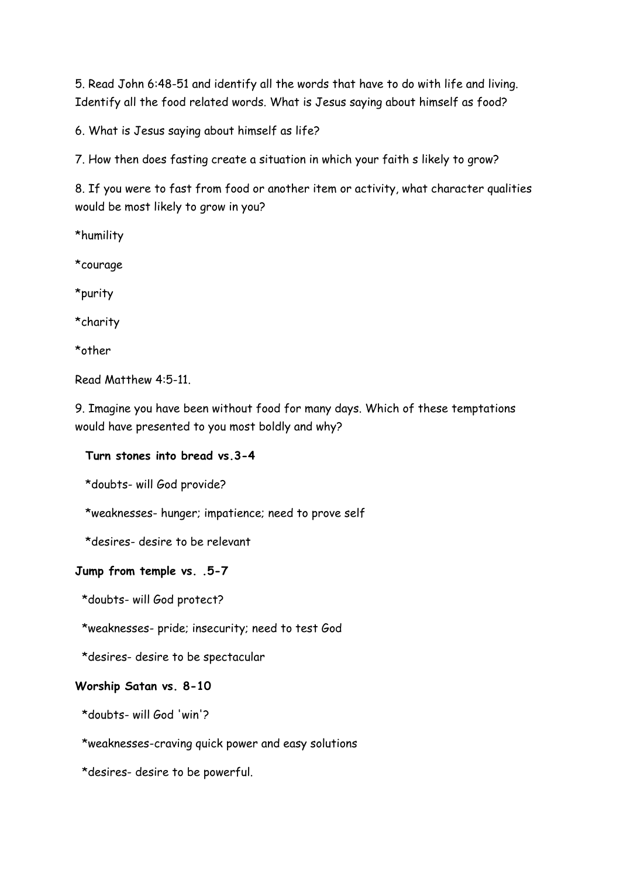5. Read John 6:48-51 and identify all the words that have to do with life and living. Identify all the food related words. What is Jesus saying about himself as food?

6. What is Jesus saying about himself as life?

7. How then does fasting create a situation in which your faith s likely to grow?

8. If you were to fast from food or another item or activity, what character qualities would be most likely to grow in you?

\*humility

\*courage

\*purity

\*charity

\*other

Read Matthew 4:5-11.

9. Imagine you have been without food for many days. Which of these temptations would have presented to you most boldly and why?

## **Turn stones into bread vs.3-4**

\*doubts- will God provide?

\*weaknesses- hunger; impatience; need to prove self

\*desires- desire to be relevant

#### **Jump from temple vs. .5-7**

\*doubts- will God protect?

\*weaknesses- pride; insecurity; need to test God

\*desires- desire to be spectacular

#### **Worship Satan vs. 8-10**

\*doubts- will God 'win'?

\*weaknesses-craving quick power and easy solutions

\*desires- desire to be powerful.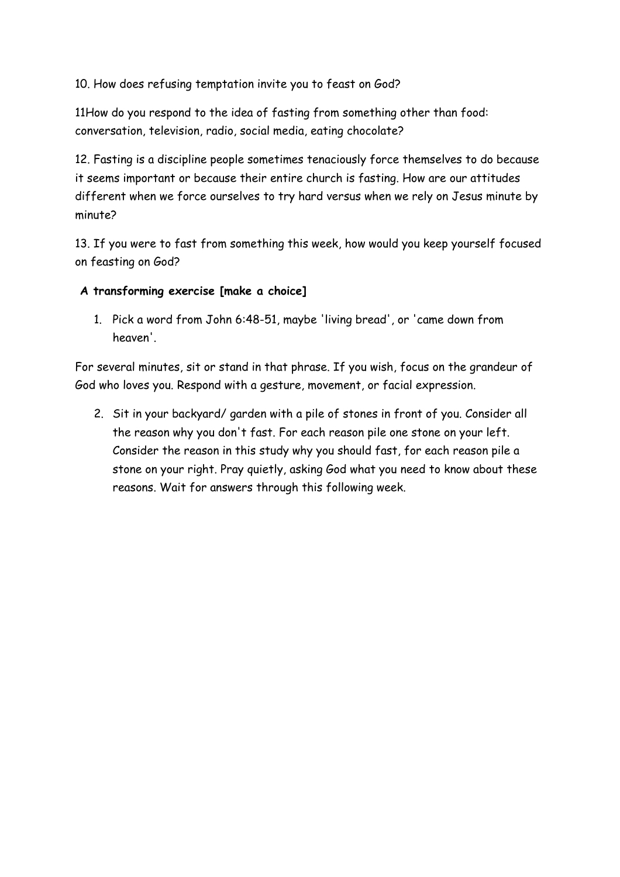10. How does refusing temptation invite you to feast on God?

11How do you respond to the idea of fasting from something other than food: conversation, television, radio, social media, eating chocolate?

12. Fasting is a discipline people sometimes tenaciously force themselves to do because it seems important or because their entire church is fasting. How are our attitudes different when we force ourselves to try hard versus when we rely on Jesus minute by minute?

13. If you were to fast from something this week, how would you keep yourself focused on feasting on God?

- **A transforming exercise [make a choice]**
	- 1. Pick a word from John 6:48-51, maybe 'living bread', or 'came down from heaven'.

For several minutes, sit or stand in that phrase. If you wish, focus on the grandeur of God who loves you. Respond with a gesture, movement, or facial expression.

2. Sit in your backyard/ garden with a pile of stones in front of you. Consider all the reason why you don't fast. For each reason pile one stone on your left. Consider the reason in this study why you should fast, for each reason pile a stone on your right. Pray quietly, asking God what you need to know about these reasons. Wait for answers through this following week.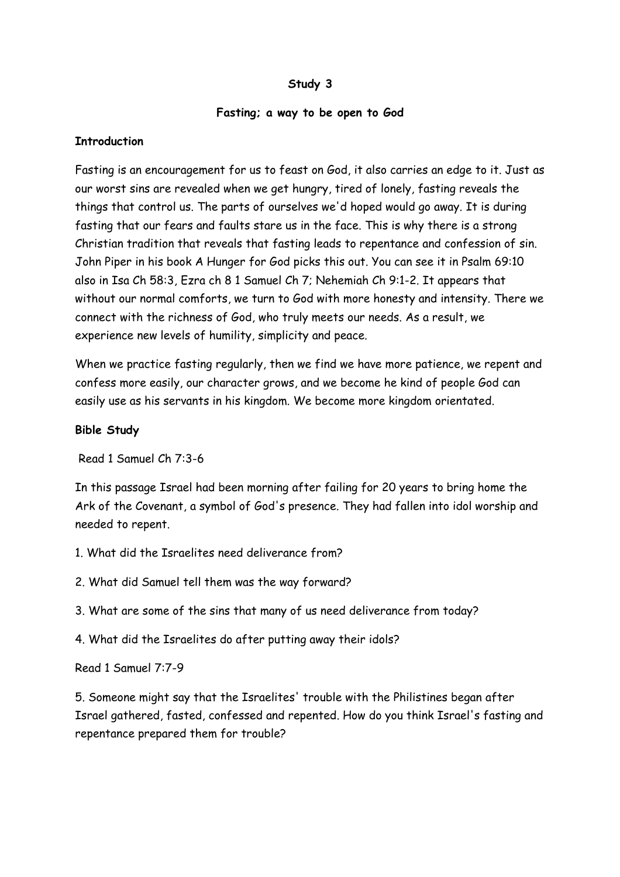## **Study 3**

#### **Fasting; a way to be open to God**

#### **Introduction**

Fasting is an encouragement for us to feast on God, it also carries an edge to it. Just as our worst sins are revealed when we get hungry, tired of lonely, fasting reveals the things that control us. The parts of ourselves we'd hoped would go away. It is during fasting that our fears and faults stare us in the face. This is why there is a strong Christian tradition that reveals that fasting leads to repentance and confession of sin. John Piper in his book A Hunger for God picks this out. You can see it in Psalm 69:10 also in Isa Ch 58:3, Ezra ch 8 1 Samuel Ch 7; Nehemiah Ch 9:1-2. It appears that without our normal comforts, we turn to God with more honesty and intensity. There we connect with the richness of God, who truly meets our needs. As a result, we experience new levels of humility, simplicity and peace.

When we practice fasting regularly, then we find we have more patience, we repent and confess more easily, our character grows, and we become he kind of people God can easily use as his servants in his kingdom. We become more kingdom orientated.

#### **Bible Study**

Read 1 Samuel Ch 7:3-6

In this passage Israel had been morning after failing for 20 years to bring home the Ark of the Covenant, a symbol of God's presence. They had fallen into idol worship and needed to repent.

- 1. What did the Israelites need deliverance from?
- 2. What did Samuel tell them was the way forward?
- 3. What are some of the sins that many of us need deliverance from today?
- 4. What did the Israelites do after putting away their idols?

Read 1 Samuel 7:7-9

5. Someone might say that the Israelites' trouble with the Philistines began after Israel gathered, fasted, confessed and repented. How do you think Israel's fasting and repentance prepared them for trouble?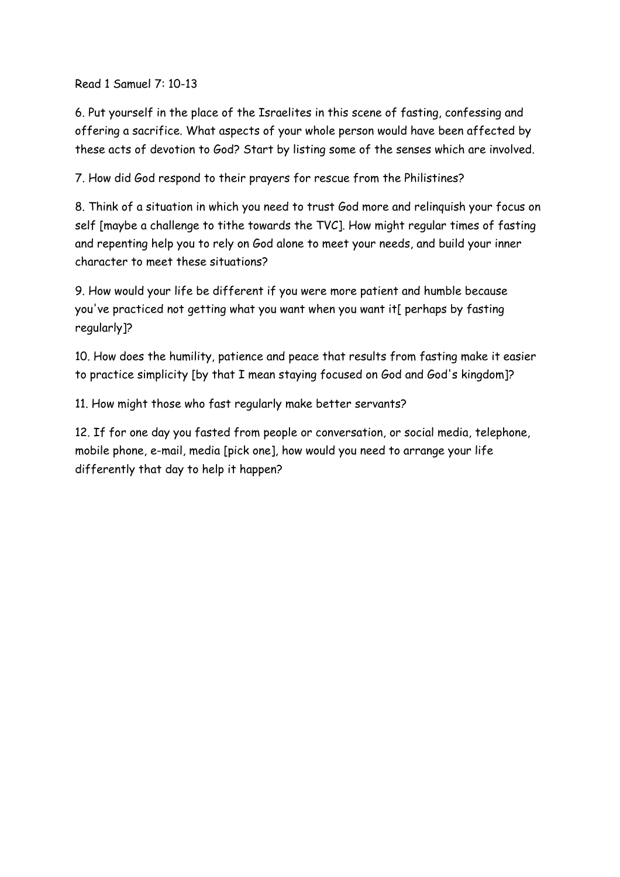Read 1 Samuel 7: 10-13

6. Put yourself in the place of the Israelites in this scene of fasting, confessing and offering a sacrifice. What aspects of your whole person would have been affected by these acts of devotion to God? Start by listing some of the senses which are involved.

7. How did God respond to their prayers for rescue from the Philistines?

8. Think of a situation in which you need to trust God more and relinquish your focus on self [maybe a challenge to tithe towards the TVC]. How might regular times of fasting and repenting help you to rely on God alone to meet your needs, and build your inner character to meet these situations?

9. How would your life be different if you were more patient and humble because you've practiced not getting what you want when you want it[ perhaps by fasting regularly]?

10. How does the humility, patience and peace that results from fasting make it easier to practice simplicity [by that I mean staying focused on God and God's kingdom]?

11. How might those who fast regularly make better servants?

12. If for one day you fasted from people or conversation, or social media, telephone, mobile phone, e-mail, media [pick one], how would you need to arrange your life differently that day to help it happen?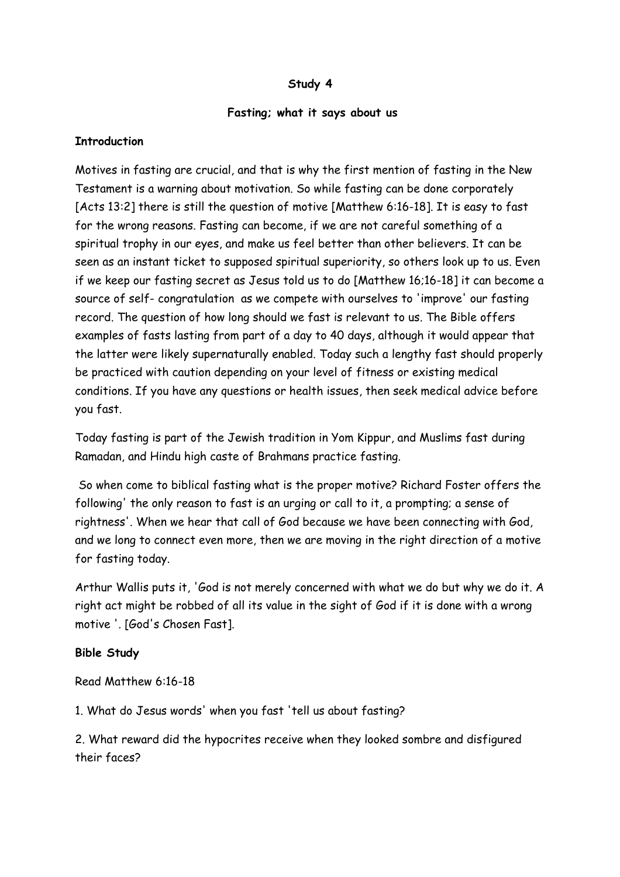#### **Study 4**

#### **Fasting; what it says about us**

#### **Introduction**

Motives in fasting are crucial, and that is why the first mention of fasting in the New Testament is a warning about motivation. So while fasting can be done corporately [Acts 13:2] there is still the question of motive [Matthew 6:16-18]. It is easy to fast for the wrong reasons. Fasting can become, if we are not careful something of a spiritual trophy in our eyes, and make us feel better than other believers. It can be seen as an instant ticket to supposed spiritual superiority, so others look up to us. Even if we keep our fasting secret as Jesus told us to do [Matthew 16;16-18] it can become a source of self- congratulation as we compete with ourselves to 'improve' our fasting record. The question of how long should we fast is relevant to us. The Bible offers examples of fasts lasting from part of a day to 40 days, although it would appear that the latter were likely supernaturally enabled. Today such a lengthy fast should properly be practiced with caution depending on your level of fitness or existing medical conditions. If you have any questions or health issues, then seek medical advice before you fast.

Today fasting is part of the Jewish tradition in Yom Kippur, and Muslims fast during Ramadan, and Hindu high caste of Brahmans practice fasting.

 So when come to biblical fasting what is the proper motive? Richard Foster offers the following' the only reason to fast is an urging or call to it, a prompting; a sense of rightness'. When we hear that call of God because we have been connecting with God, and we long to connect even more, then we are moving in the right direction of a motive for fasting today.

Arthur Wallis puts it, 'God is not merely concerned with what we do but why we do it. A right act might be robbed of all its value in the sight of God if it is done with a wrong motive '. [God's Chosen Fast].

#### **Bible Study**

Read Matthew 6:16-18

1. What do Jesus words' when you fast 'tell us about fasting?

2. What reward did the hypocrites receive when they looked sombre and disfigured their faces?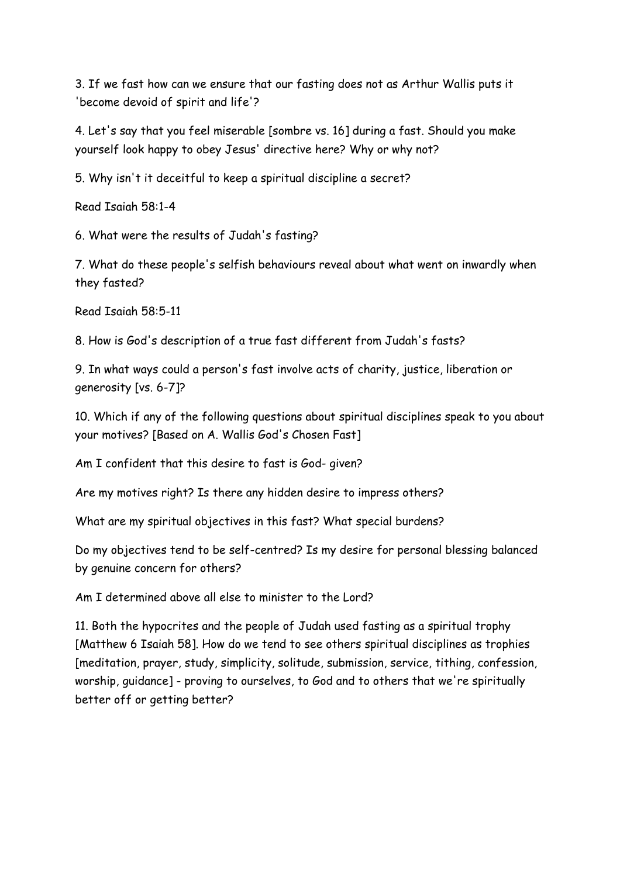3. If we fast how can we ensure that our fasting does not as Arthur Wallis puts it 'become devoid of spirit and life'?

4. Let's say that you feel miserable [sombre vs. 16] during a fast. Should you make yourself look happy to obey Jesus' directive here? Why or why not?

5. Why isn't it deceitful to keep a spiritual discipline a secret?

Read Isaiah 58:1-4

6. What were the results of Judah's fasting?

7. What do these people's selfish behaviours reveal about what went on inwardly when they fasted?

Read Isaiah 58:5-11

8. How is God's description of a true fast different from Judah's fasts?

9. In what ways could a person's fast involve acts of charity, justice, liberation or generosity [vs. 6-7]?

10. Which if any of the following questions about spiritual disciplines speak to you about your motives? [Based on A. Wallis God's Chosen Fast]

Am I confident that this desire to fast is God- given?

Are my motives right? Is there any hidden desire to impress others?

What are my spiritual objectives in this fast? What special burdens?

Do my objectives tend to be self-centred? Is my desire for personal blessing balanced by genuine concern for others?

Am I determined above all else to minister to the Lord?

11. Both the hypocrites and the people of Judah used fasting as a spiritual trophy [Matthew 6 Isaiah 58]. How do we tend to see others spiritual disciplines as trophies [meditation, prayer, study, simplicity, solitude, submission, service, tithing, confession, worship, guidance] - proving to ourselves, to God and to others that we're spiritually better off or getting better?